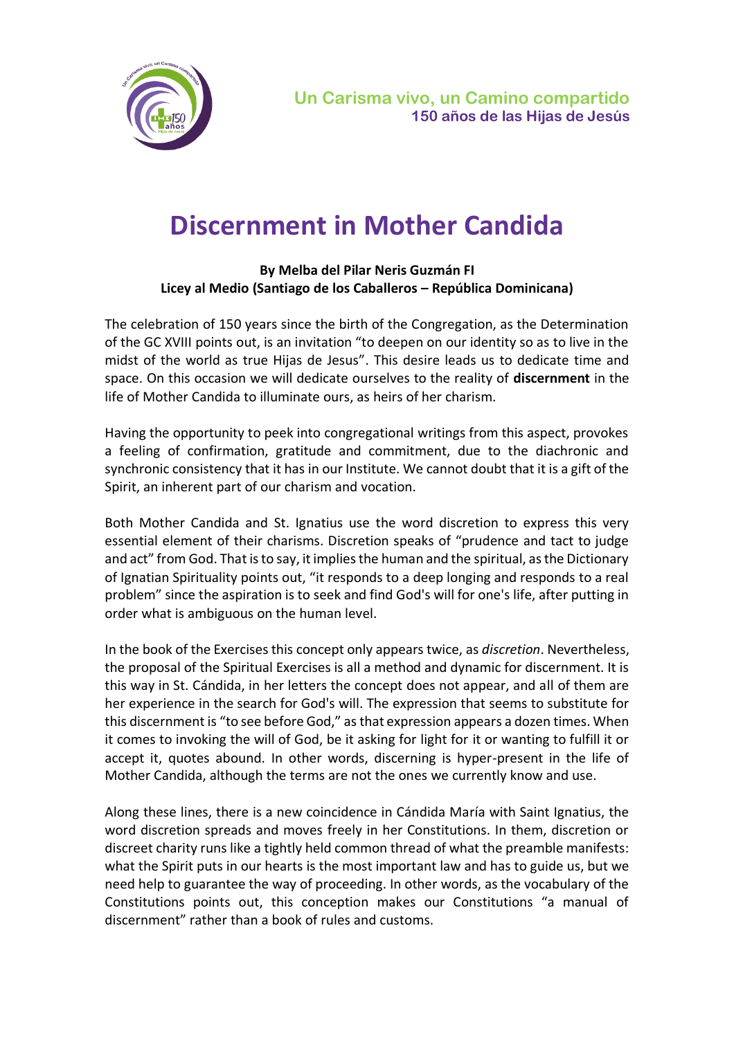

## **Discernment in Mother Candida**

## **By Melba del Pilar Neris Guzmán FI Licey al Medio (Santiago de los Caballeros – República Dominicana)**

The celebration of 150 years since the birth of the Congregation, as the Determination of the GC XVIII points out, is an invitation "to deepen on our identity so as to live in the midst of the world as true Hijas de Jesus". This desire leads us to dedicate time and space. On this occasion we will dedicate ourselves to the reality of **discernment** in the life of Mother Candida to illuminate ours, as heirs of her charism.

Having the opportunity to peek into congregational writings from this aspect, provokes a feeling of confirmation, gratitude and commitment, due to the diachronic and synchronic consistency that it has in our Institute. We cannot doubt that it is a gift of the Spirit, an inherent part of our charism and vocation.

Both Mother Candida and St. Ignatius use the word discretion to express this very essential element of their charisms. Discretion speaks of "prudence and tact to judge and act" from God. That is to say, it implies the human and the spiritual, as the Dictionary of Ignatian Spirituality points out, "it responds to a deep longing and responds to a real problem" since the aspiration is to seek and find God's will for one's life, after putting in order what is ambiguous on the human level.

In the book of the Exercises this concept only appears twice, as *discretion*. Nevertheless, the proposal of the Spiritual Exercises is all a method and dynamic for discernment. It is this way in St. Cándida, in her letters the concept does not appear, and all of them are her experience in the search for God's will. The expression that seems to substitute for this discernment is "to see before God," as that expression appears a dozen times. When it comes to invoking the will of God, be it asking for light for it or wanting to fulfill it or accept it, quotes abound. In other words, discerning is hyper-present in the life of Mother Candida, although the terms are not the ones we currently know and use.

Along these lines, there is a new coincidence in Cándida María with Saint Ignatius, the word discretion spreads and moves freely in her Constitutions. In them, discretion or discreet charity runs like a tightly held common thread of what the preamble manifests: what the Spirit puts in our hearts is the most important law and has to guide us, but we need help to guarantee the way of proceeding. In other words, as the vocabulary of the Constitutions points out, this conception makes our Constitutions "a manual of discernment" rather than a book of rules and customs.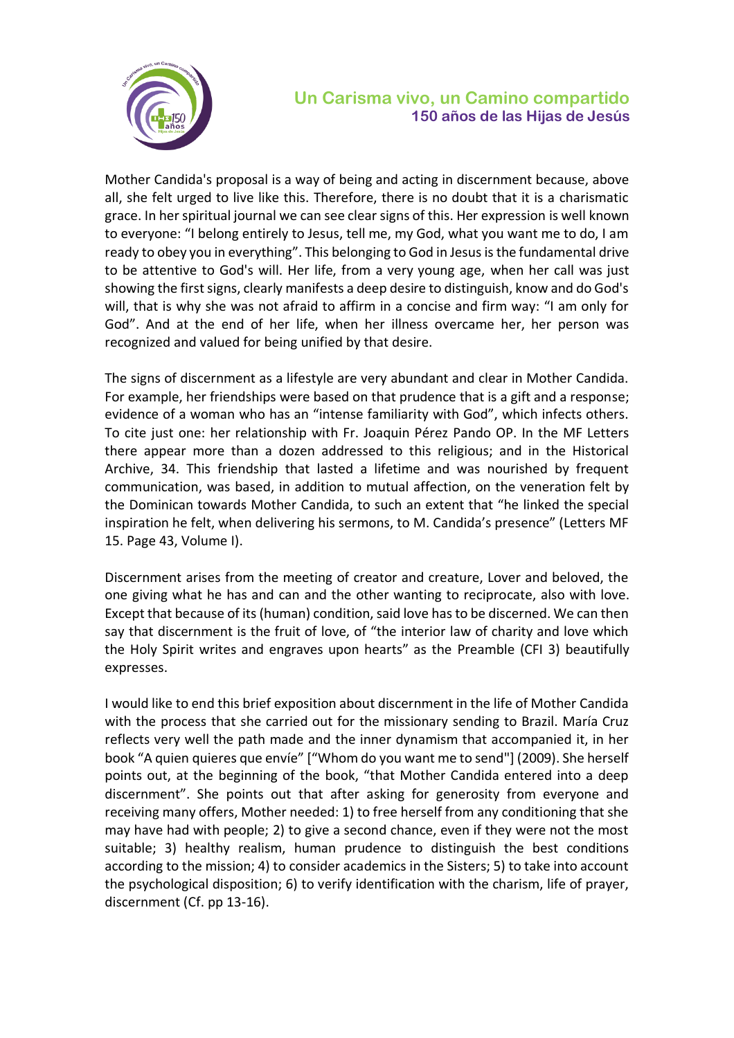

## **Un Carisma vivo, un Camino compartido 150 años de las Hijas de Jesús**

Mother Candida's proposal is a way of being and acting in discernment because, above all, she felt urged to live like this. Therefore, there is no doubt that it is a charismatic grace. In her spiritual journal we can see clear signs of this. Her expression is well known to everyone: "I belong entirely to Jesus, tell me, my God, what you want me to do, I am ready to obey you in everything". This belonging to God in Jesus is the fundamental drive to be attentive to God's will. Her life, from a very young age, when her call was just showing the first signs, clearly manifests a deep desire to distinguish, know and do God's will, that is why she was not afraid to affirm in a concise and firm way: "I am only for God". And at the end of her life, when her illness overcame her, her person was recognized and valued for being unified by that desire.

The signs of discernment as a lifestyle are very abundant and clear in Mother Candida. For example, her friendships were based on that prudence that is a gift and a response; evidence of a woman who has an "intense familiarity with God", which infects others. To cite just one: her relationship with Fr. Joaquin Pérez Pando OP. In the MF Letters there appear more than a dozen addressed to this religious; and in the Historical Archive, 34. This friendship that lasted a lifetime and was nourished by frequent communication, was based, in addition to mutual affection, on the veneration felt by the Dominican towards Mother Candida, to such an extent that "he linked the special inspiration he felt, when delivering his sermons, to M. Candida's presence" (Letters MF 15. Page 43, Volume I).

Discernment arises from the meeting of creator and creature, Lover and beloved, the one giving what he has and can and the other wanting to reciprocate, also with love. Except that because of its (human) condition, said love has to be discerned. We can then say that discernment is the fruit of love, of "the interior law of charity and love which the Holy Spirit writes and engraves upon hearts" as the Preamble (CFI 3) beautifully expresses.

I would like to end this brief exposition about discernment in the life of Mother Candida with the process that she carried out for the missionary sending to Brazil. María Cruz reflects very well the path made and the inner dynamism that accompanied it, in her book "A quien quieres que envíe" ["Whom do you want me to send"] (2009). She herself points out, at the beginning of the book, "that Mother Candida entered into a deep discernment". She points out that after asking for generosity from everyone and receiving many offers, Mother needed: 1) to free herself from any conditioning that she may have had with people; 2) to give a second chance, even if they were not the most suitable; 3) healthy realism, human prudence to distinguish the best conditions according to the mission; 4) to consider academics in the Sisters; 5) to take into account the psychological disposition; 6) to verify identification with the charism, life of prayer, discernment (Cf. pp 13-16).